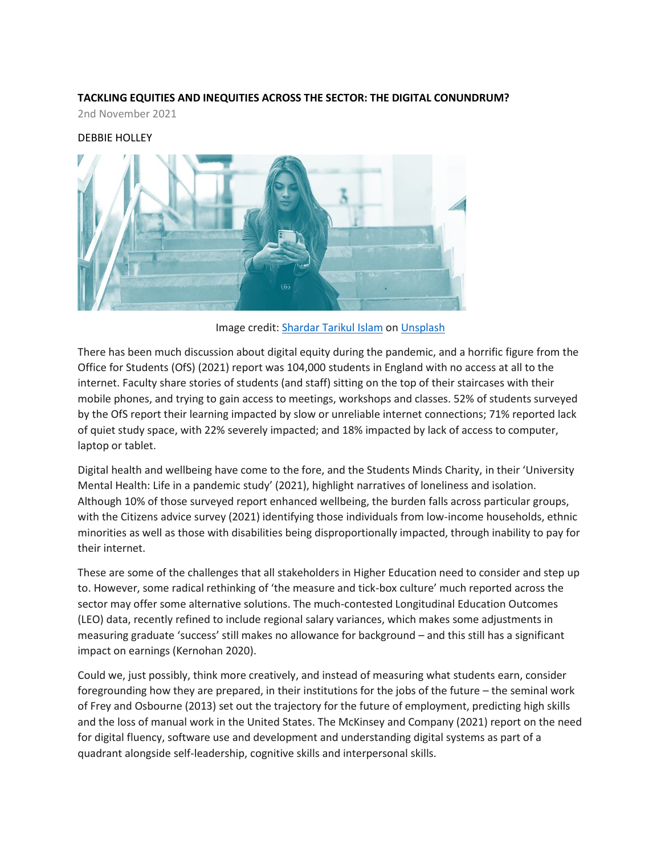# **TACKLING EQUITIES AND INEQUITIES ACROSS THE SECTOR: THE DIGITAL CONUNDRUM?**

2nd November 2021

#### DEBBIE HOLLEY



Image credit: [Shardar Tarikul Islam](https://unsplash.com/@tarikul_islam?utm_source=unsplash&utm_medium=referral&utm_content=creditCopyText) o[n Unsplash](https://unsplash.com/s/photos/woman-on-staircase-with-mobile-phone?utm_source=unsplash&utm_medium=referral&utm_content=creditCopyText)

There has been much discussion about digital equity during the pandemic, and a horrific figure from the Office for Students (OfS) (2021) report was 104,000 students in England with no access at all to the internet. Faculty share stories of students (and staff) sitting on the top of their staircases with their mobile phones, and trying to gain access to meetings, workshops and classes. 52% of students surveyed by the OfS report their learning impacted by slow or unreliable internet connections; 71% reported lack of quiet study space, with 22% severely impacted; and 18% impacted by lack of access to computer, laptop or tablet.

Digital health and wellbeing have come to the fore, and the Students Minds Charity, in their 'University Mental Health: Life in a pandemic study' (2021), highlight narratives of loneliness and isolation. Although 10% of those surveyed report enhanced wellbeing, the burden falls across particular groups, with the Citizens advice survey (2021) identifying those individuals from low-income households, ethnic minorities as well as those with disabilities being disproportionally impacted, through inability to pay for their internet.

These are some of the challenges that all stakeholders in Higher Education need to consider and step up to. However, some radical rethinking of 'the measure and tick-box culture' much reported across the sector may offer some alternative solutions. The much-contested Longitudinal Education Outcomes (LEO) data, recently refined to include regional salary variances, which makes some adjustments in measuring graduate 'success' still makes no allowance for background – and this still has a significant impact on earnings (Kernohan 2020).

Could we, just possibly, think more creatively, and instead of measuring what students earn, consider foregrounding how they are prepared, in their institutions for the jobs of the future – the seminal work of Frey and Osbourne (2013) set out the trajectory for the future of employment, predicting high skills and the loss of manual work in the United States. The McKinsey and Company (2021) report on the need for digital fluency, software use and development and understanding digital systems as part of a quadrant alongside self-leadership, cognitive skills and interpersonal skills.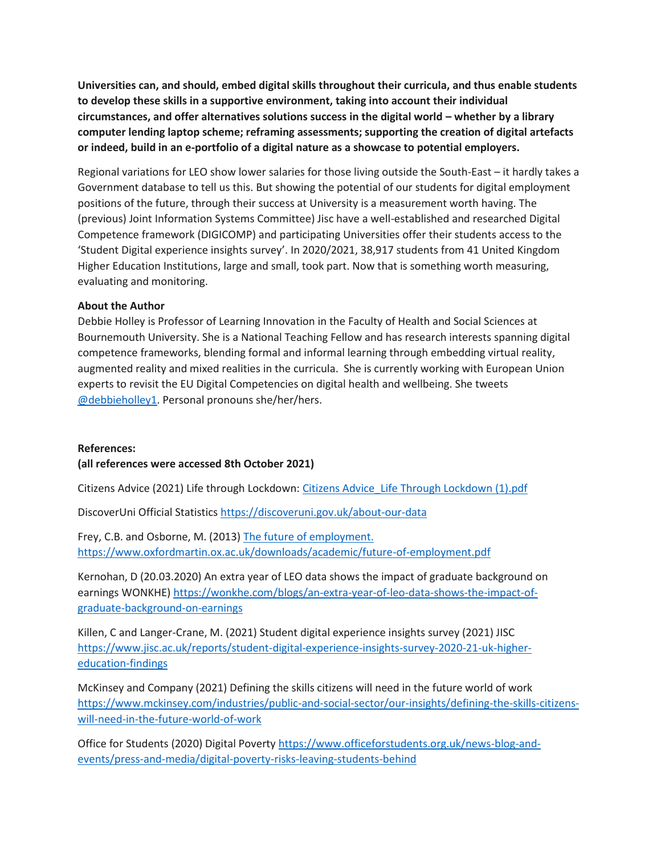**Universities can, and should, embed digital skills throughout their curricula, and thus enable students to develop these skills in a supportive environment, taking into account their individual circumstances, and offer alternatives solutions success in the digital world – whether by a library computer lending laptop scheme; reframing assessments; supporting the creation of digital artefacts or indeed, build in an e-portfolio of a digital nature as a showcase to potential employers.** 

Regional variations for LEO show lower salaries for those living outside the South-East – it hardly takes a Government database to tell us this. But showing the potential of our students for digital employment positions of the future, through their success at University is a measurement worth having. The (previous) Joint Information Systems Committee) Jisc have a well-established and researched Digital Competence framework (DIGICOMP) and participating Universities offer their students access to the 'Student Digital experience insights survey'. In 2020/2021, 38,917 students from 41 United Kingdom Higher Education Institutions, large and small, took part. Now that is something worth measuring, evaluating and monitoring.

### **About the Author**

Debbie Holley is Professor of Learning Innovation in the Faculty of Health and Social Sciences at Bournemouth University. She is a National Teaching Fellow and has research interests spanning digital competence frameworks, blending formal and informal learning through embedding virtual reality, augmented reality and mixed realities in the curricula. She is currently working with European Union experts to revisit the EU Digital Competencies on digital health and wellbeing. She tweets [@debbieholley1.](https://twitter.com/DebbieHolley1) Personal pronouns she/her/hers.

#### **References:**

## **(all references were accessed 8th October 2021)**

Citizens Advice (2021) Life through Lockdown: [Citizens Advice\\_Life Through Lockdown \(1\).pdf](https://www.citizensadvice.org.uk/Global/CitizensAdvice/Covd-19%20Data%20trends/Citizens%20Advice_Life%20Through%20Lockdown%20(1).pdf)

DiscoverUni Official Statistics<https://discoveruni.gov.uk/about-our-data>

Frey, C.B. and Osborne, M. (2013) [The future of employment.](https://www.oxfordmartin.ox.ac.uk/downloads/academic/future-of-employment.pdf)  <https://www.oxfordmartin.ox.ac.uk/downloads/academic/future-of-employment.pdf>

Kernohan, D (20.03.2020) An extra year of LEO data shows the impact of graduate background on earnings WONKHE[\) https://wonkhe.com/blogs/an-extra-year-of-leo-data-shows-the-impact-of](https://wonkhe.com/blogs/an-extra-year-of-leo-data-shows-the-impact-of-graduate-background-on-earnings)[graduate-background-on-earnings](https://wonkhe.com/blogs/an-extra-year-of-leo-data-shows-the-impact-of-graduate-background-on-earnings)

Killen, C and Langer-Crane, M. (2021) Student digital experience insights survey (2021) JISC [https://www.jisc.ac.uk/reports/student-digital-experience-insights-survey-2020-21-uk-higher](https://www.jisc.ac.uk/reports/student-digital-experience-insights-survey-2020-21-uk-higher-education-findings)[education-findings](https://www.jisc.ac.uk/reports/student-digital-experience-insights-survey-2020-21-uk-higher-education-findings)

McKinsey and Company (2021) Defining the skills citizens will need in the future world of work [https://www.mckinsey.com/industries/public-and-social-sector/our-insights/defining-the-skills-citizens](https://www.mckinsey.com/industries/public-and-social-sector/our-insights/defining-the-skills-citizens-will-need-in-the-future-world-of-work)[will-need-in-the-future-world-of-work](https://www.mckinsey.com/industries/public-and-social-sector/our-insights/defining-the-skills-citizens-will-need-in-the-future-world-of-work)

Office for Students (2020) Digital Poverty [https://www.officeforstudents.org.uk/news-blog-and](https://www.officeforstudents.org.uk/news-blog-and-events/press-and-media/digital-poverty-risks-leaving-students-behind)[events/press-and-media/digital-poverty-risks-leaving-students-behind](https://www.officeforstudents.org.uk/news-blog-and-events/press-and-media/digital-poverty-risks-leaving-students-behind)